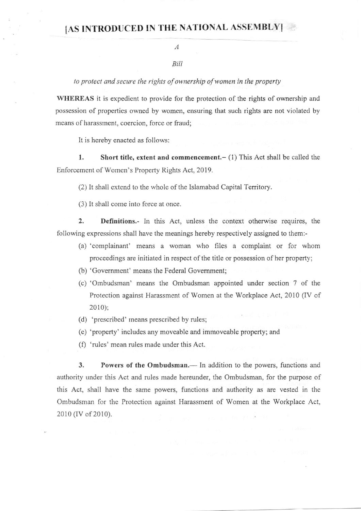## IAS INTRODUCED IN THE NATIONAL ASSEMBLYI

## A

## Bill

to protect and secure the rights of ownership of women in the property

WHEREAS it is expedient to provide for the protection of the rights of ownership and possession of properties owned by women, ensuring that such rights are not violated by means of harassment, coercion, force or fraud;

It is hereby enacted as follows:

1. Short title, extent and commencement. - (1) This Act shall be called the Enforcement of Women's Property Rights Act, 2019.

(2) It shall extend to the whole of the Islamabad Capital Territory.

(3) It shatl come into force at once.

2. Definitions.- In this Act, unless the context otherwise requires, the following expressions shall have the meanings hereby respectively assigned to them:-

- (a) 'complainant' means a woman who files a complaint or for whom proceedings are initiated in respect of the title or possession of her property;
- (b) 'Government' means the Federal Government;
- (c) 'Ombudsman' means the Ombudsman appointed under section 7 of the Protection against Harassment of Women at the Workplace Act, 2010 (IV of 20l0);
- (d) 'prescribcd' means prescribed by rules;
- (e) 'property' includes any moveable and immoveable property; and
- (f) 'rules' mean rules made under this Act.

3. Powers of the Ombudsman.— In addition to the powers, functions and authority under this Act and rules made hereunder, the Ombudsman, for the purpose of this Act, shall have the same powers, functions and authority as are vested in the Ombudsman for the Protection against Harassment of Women at the Workplace Act, 2010 (IV of 2010).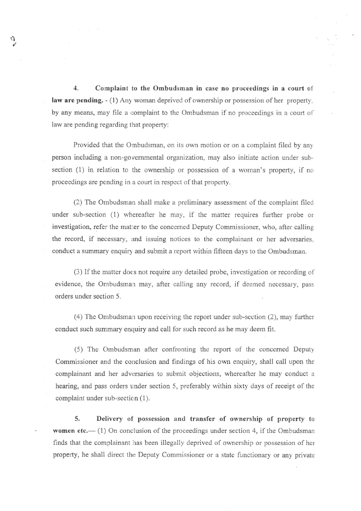1. Complaint to the Ombudsman in case no proceedings in a court ol law are pending.  $-(1)$  Any woman deprived of ownership or possession of her property. by any means, may file a complaint to the Ombudsman if no proceedings in a court of law are pending regarding that property:

 $\eta$ 

Provided that the Ombudsman, on its own motion or on a complaint filed by any person including a non-go vernmental organization, may also initiate action under subsection (l) in relation to the ownership or possession of a woman's property, if no proceedings are pending in a court in respect of that property.

(2) The Ombudsman shall make a preliminary assessment of the complaint filed under sub-section (1) whereafter he may, if the matter requires further probe or investigation, refer the matter to the concerned Deputy Commissioner, who, after calling the record, if necessary, and issuing notices to the complainant or her adversaries. conduct a summary enquiry and submit a report within fifteen days to the Ombudsman.

(3) If the matter does not require any detailed probe, investigation or recording of evidence, the Ombudsman may, after calling any record, if deemed necessary, pass orders under section 5.

(4) The Ombudsman upon receiving the report under sub-section (2), may further conduct such summary enquiry and call for such record as he may deem fit.

(5) The Ombudsman afler confronting the report of the concerned Deputy Commissioner and the conclusion and findings of his own enquiry, shall call upon the complainant and her adversaries to submit objections, whereafter he may conduct a hearing, and pass orders under section 5, preferably within sixty days of receipt of the complaint under sub-section (1).

5. Delivery of possession and transfer of ownership of property to **women etc.**—(1) On conclusion of the proceedings under section 4, if the Ombudsman finds that the complainant has been illegally deprived of ownership or possession of her property, he shall direct the Deputy Commissioner or a state functionary or any private